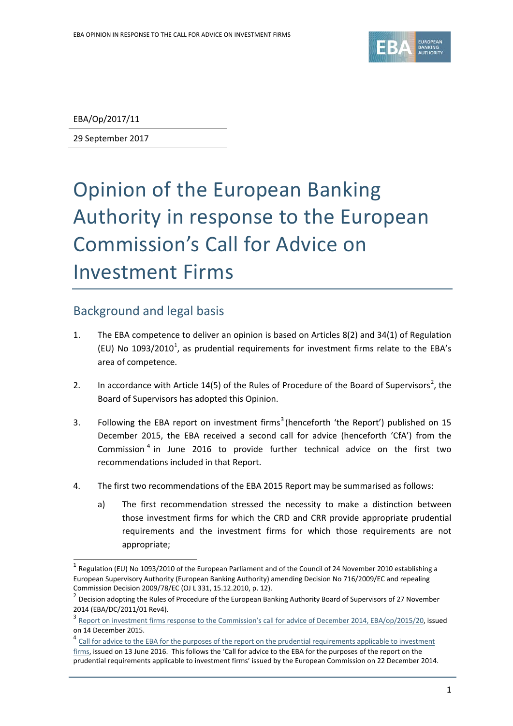

EBA/Op/2017/11

29 September 2017

# Opinion of the European Banking Authority in response to the European Commission's Call for Advice on Investment Firms

# Background and legal basis

- 1. The EBA competence to deliver an opinion is based on Articles 8(2) and 34(1) of Regulation (EU) No [1](#page-0-0)093/2010<sup>1</sup>, as prudential requirements for investment firms relate to the EBA's area of competence.
- [2](#page-0-1). In accordance with Article 14(5) of the Rules of Procedure of the Board of Supervisors<sup>2</sup>, the Board of Supervisors has adopted this Opinion.
- [3](#page-0-2). Following the EBA report on investment firms<sup>3</sup> (henceforth 'the Report') published on 15 December 2015, the EBA received a second call for advice (henceforth 'CfA') from the Commission [4](#page-0-3) in June 2016 to provide further technical advice on the first two recommendations included in that Report.
- 4. The first two recommendations of the EBA 2015 Report may be summarised as follows:
	- a) The first recommendation stressed the necessity to make a distinction between those investment firms for which the CRD and CRR provide appropriate prudential requirements and the investment firms for which those requirements are not appropriate;

<span id="page-0-0"></span> $1$  Regulation (EU) No 1093/2010 of the European Parliament and of the Council of 24 November 2010 establishing a European Supervisory Authority (European Banking Authority) amending Decision No 716/2009/EC and repealing Commission Decision 2009/78/EC (OJ L 331, 15.12.2010, p. 12).

<span id="page-0-1"></span> $2$  Decision adopting the Rules of Procedure of the European Banking Authority Board of Supervisors of 27 November 2014 (EBA/DC/2011/01 Rev4).

<span id="page-0-2"></span><sup>3</sup> [Report on investment firms response to the Commission's call for advice of December 2014, EBA/op/2015/20,](http://www.eba.europa.eu/-/eba-issues-recommendations-for-sound-prudential-regime-for-investment-firms) issued on 14 December 2015.

<span id="page-0-3"></span><sup>&</sup>lt;sup>4</sup> [Call for advice to the EBA for the purposes of the report on the prudential requirements applicable to investment](https://www.eba.europa.eu/documents/10180/1321242/CfA+Investment+firms.pdf/9d8f89ab-720a-4ebf-8db7-6e5ebcddbd07) [firms,](https://www.eba.europa.eu/documents/10180/1321242/CfA+Investment+firms.pdf/9d8f89ab-720a-4ebf-8db7-6e5ebcddbd07) issued on 13 June 2016. This follows the 'Call for advice to the EBA for the purposes of the report on the prudential requirements applicable to investment firms' issued by the European Commission on 22 December 2014.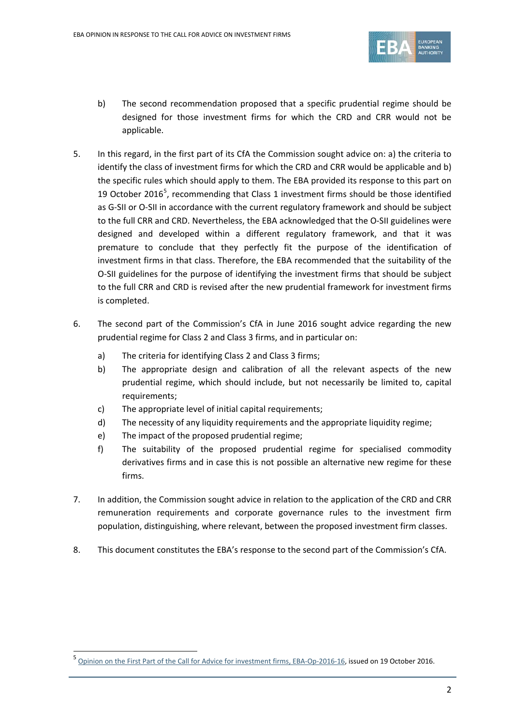

- b) The second recommendation proposed that a specific prudential regime should be designed for those investment firms for which the CRD and CRR would not be applicable.
- 5. In this regard, in the first part of its CfA the Commission sought advice on: a) the criteria to identify the class of investment firms for which the CRD and CRR would be applicable and b) the specific rules which should apply to them. The EBA provided its response to this part on 19 October 2016<sup>[5](#page-1-0)</sup>, recommending that Class 1 investment firms should be those identified as G-SII or O-SII in accordance with the current regulatory framework and should be subject to the full CRR and CRD. Nevertheless, the EBA acknowledged that the O-SII guidelines were designed and developed within a different regulatory framework, and that it was premature to conclude that they perfectly fit the purpose of the identification of investment firms in that class. Therefore, the EBA recommended that the suitability of the O-SII guidelines for the purpose of identifying the investment firms that should be subject to the full CRR and CRD is revised after the new prudential framework for investment firms is completed.
- 6. The second part of the Commission's CfA in June 2016 sought advice regarding the new prudential regime for Class 2 and Class 3 firms, and in particular on:
	- a) The criteria for identifying Class 2 and Class 3 firms;
	- b) The appropriate design and calibration of all the relevant aspects of the new prudential regime, which should include, but not necessarily be limited to, capital requirements;
	- c) The appropriate level of initial capital requirements;
	- d) The necessity of any liquidity requirements and the appropriate liquidity regime;
	- e) The impact of the proposed prudential regime;

- f) The suitability of the proposed prudential regime for specialised commodity derivatives firms and in case this is not possible an alternative new regime for these firms.
- 7. In addition, the Commission sought advice in relation to the application of the CRD and CRR remuneration requirements and corporate governance rules to the investment firm population, distinguishing, where relevant, between the proposed investment firm classes.
- 8. This document constitutes the EBA's response to the second part of the Commission's CfA.

<span id="page-1-0"></span>[Opinion on the First Part of the Call for Advice for investment firms, EBA-Op-2016-16,](https://www.eba.europa.eu/documents/10180/983359/EBA-Op-2015-20+Report+on+investment+firms.pdf) issued on 19 October 2016.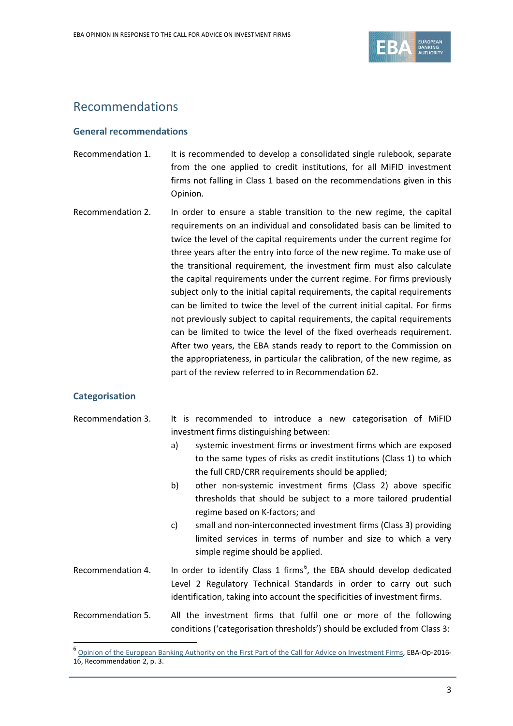

# Recommendations

# **General recommendations**

- Recommendation 1. It is recommended to develop a consolidated single rulebook, separate from the one applied to credit institutions, for all MiFID investment firms not falling in Class 1 based on the recommendations given in this Opinion.
- Recommendation 2. In order to ensure a stable transition to the new regime, the capital requirements on an individual and consolidated basis can be limited to twice the level of the capital requirements under the current regime for three years after the entry into force of the new regime. To make use of the transitional requirement, the investment firm must also calculate the capital requirements under the current regime. For firms previously subject only to the initial capital requirements, the capital requirements can be limited to twice the level of the current initial capital. For firms not previously subject to capital requirements, the capital requirements can be limited to twice the level of the fixed overheads requirement. After two years, the EBA stands ready to report to the Commission on the appropriateness, in particular the calibration, of the new regime, as part of the review referred to in Recommendation 62.

#### **Categorisation**

| Recommendation 3. |                                          |  | It is recommended to introduce a new categorisation of MiFID |  |  |  |  |  |  |
|-------------------|------------------------------------------|--|--------------------------------------------------------------|--|--|--|--|--|--|
|                   | investment firms distinguishing between: |  |                                                              |  |  |  |  |  |  |

- a) systemic investment firms or investment firms which are exposed to the same types of risks as credit institutions (Class 1) to which the full CRD/CRR requirements should be applied;
- b) other non-systemic investment firms (Class 2) above specific thresholds that should be subject to a more tailored prudential regime based on K-factors; and
- c) small and non-interconnected investment firms (Class 3) providing limited services in terms of number and size to which a very simple regime should be applied.
- Recommendation 4. In order to identify Class 1 firms<sup>[6](#page-2-0)</sup>, the EBA should develop dedicated Level 2 Regulatory Technical Standards in order to carry out such identification, taking into account the specificities of investment firms.
- Recommendation 5. All the investment firms that fulfil one or more of the following conditions ('categorisation thresholds') should be excluded from Class 3:

<span id="page-2-0"></span><sup>&</sup>lt;sup>6</sup> [Opinion of the European Banking Authority on the First Part of the Call for Advice on Investment Firms,](https://www.eba.europa.eu/documents/10180/1639033/Opinion+of+the+European+Banking+Authority+on+the+First+Part+of+the+Call+for+Advice+on+Investment+Firms+%28EBA-Op-2016-16%29.pdf) EBA-Op-2016-16, Recommendation 2, p. 3.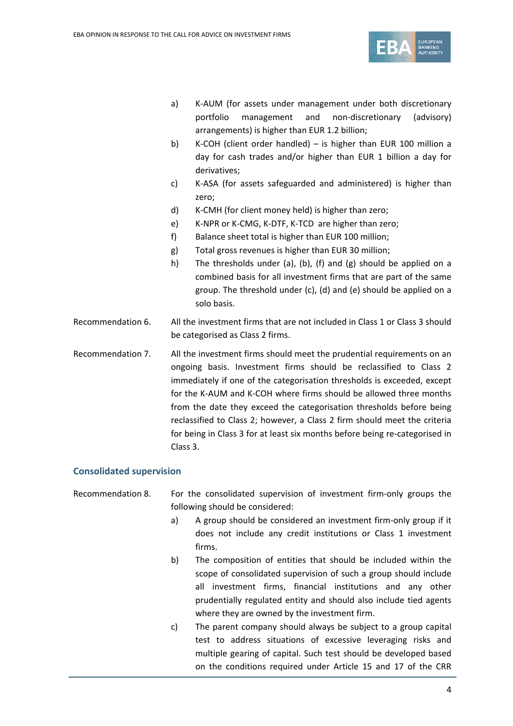

- a) K-AUM (for assets under management under both discretionary portfolio management and non-discretionary (advisory) arrangements) is higher than EUR 1.2 billion;
- b) K-COH (client order handled) is higher than EUR 100 million a day for cash trades and/or higher than EUR 1 billion a day for derivatives;
- c) K-ASA (for assets safeguarded and administered) is higher than zero;
- d) K-CMH (for client money held) is higher than zero;
- e) K-NPR or K-CMG, K-DTF, K-TCD are higher than zero;
- f) Balance sheet total is higher than EUR 100 million;
- g) Total gross revenues is higher than EUR 30 million;
- h) The thresholds under (a), (b), (f) and (g) should be applied on a combined basis for all investment firms that are part of the same group. The threshold under (c), (d) and (e) should be applied on a solo basis.
- Recommendation 6. All the investment firms that are not included in Class 1 or Class 3 should be categorised as Class 2 firms.
- Recommendation 7. All the investment firms should meet the prudential requirements on an ongoing basis. Investment firms should be reclassified to Class 2 immediately if one of the categorisation thresholds is exceeded, except for the K-AUM and K-COH where firms should be allowed three months from the date they exceed the categorisation thresholds before being reclassified to Class 2; however, a Class 2 firm should meet the criteria for being in Class 3 for at least six months before being re-categorised in Class 3.

#### **Consolidated supervision**

Recommendation 8. For the consolidated supervision of investment firm-only groups the following should be considered:

- a) A group should be considered an investment firm-only group if it does not include any credit institutions or Class 1 investment firms.
- b) The composition of entities that should be included within the scope of consolidated supervision of such a group should include all investment firms, financial institutions and any other prudentially regulated entity and should also include tied agents where they are owned by the investment firm.
- c) The parent company should always be subject to a group capital test to address situations of excessive leveraging risks and multiple gearing of capital. Such test should be developed based on the conditions required under Article 15 and 17 of the CRR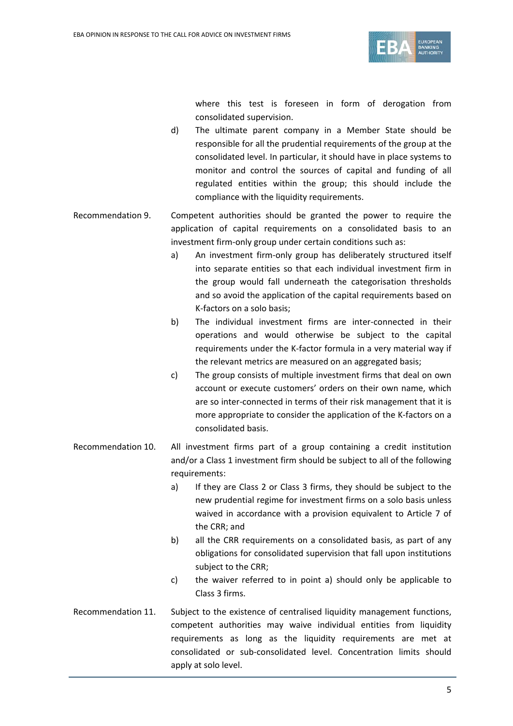

where this test is foreseen in form of derogation from consolidated supervision.

- d) The ultimate parent company in a Member State should be responsible for all the prudential requirements of the group at the consolidated level. In particular, it should have in place systems to monitor and control the sources of capital and funding of all regulated entities within the group; this should include the compliance with the liquidity requirements.
- Recommendation 9. Competent authorities should be granted the power to require the application of capital requirements on a consolidated basis to an investment firm-only group under certain conditions such as:
	- a) An investment firm-only group has deliberately structured itself into separate entities so that each individual investment firm in the group would fall underneath the categorisation thresholds and so avoid the application of the capital requirements based on K-factors on a solo basis;
	- b) The individual investment firms are inter-connected in their operations and would otherwise be subject to the capital requirements under the K-factor formula in a very material way if the relevant metrics are measured on an aggregated basis;
	- c) The group consists of multiple investment firms that deal on own account or execute customers' orders on their own name, which are so inter-connected in terms of their risk management that it is more appropriate to consider the application of the K-factors on a consolidated basis.
- Recommendation 10. All investment firms part of a group containing a credit institution and/or a Class 1 investment firm should be subject to all of the following requirements:
	- a) If they are Class 2 or Class 3 firms, they should be subject to the new prudential regime for investment firms on a solo basis unless waived in accordance with a provision equivalent to Article 7 of the CRR; and
	- b) all the CRR requirements on a consolidated basis, as part of any obligations for consolidated supervision that fall upon institutions subject to the CRR;
	- c) the waiver referred to in point a) should only be applicable to Class 3 firms.
- Recommendation 11. Subject to the existence of centralised liquidity management functions, competent authorities may waive individual entities from liquidity requirements as long as the liquidity requirements are met at consolidated or sub-consolidated level. Concentration limits should apply at solo level.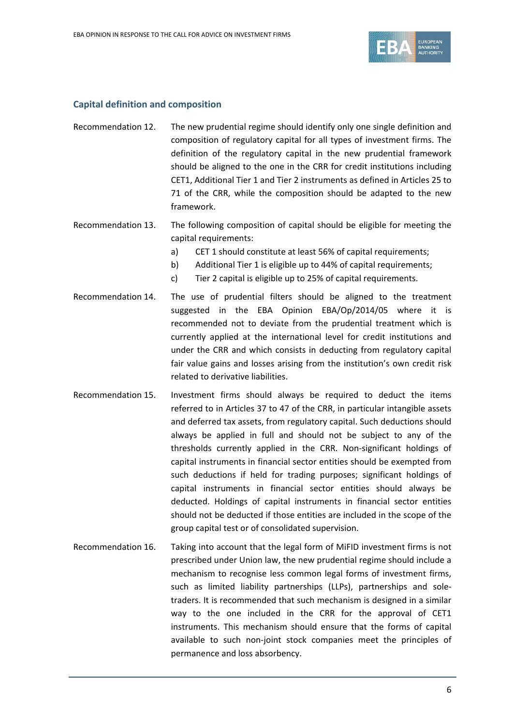

## **Capital definition and composition**

- Recommendation 12. The new prudential regime should identify only one single definition and composition of regulatory capital for all types of investment firms. The definition of the regulatory capital in the new prudential framework should be aligned to the one in the CRR for credit institutions including CET1, Additional Tier 1 and Tier 2 instruments as defined in Articles 25 to 71 of the CRR, while the composition should be adapted to the new framework.
- Recommendation 13. The following composition of capital should be eligible for meeting the capital requirements:
	- a) CET 1 should constitute at least 56% of capital requirements;
	- b) Additional Tier 1 is eligible up to 44% of capital requirements;
	- c) Tier 2 capital is eligible up to 25% of capital requirements.
- Recommendation 14. The use of prudential filters should be aligned to the treatment suggested in the EBA Opinion EBA/Op/2014/05 where it is recommended not to deviate from the prudential treatment which is currently applied at the international level for credit institutions and under the CRR and which consists in deducting from regulatory capital fair value gains and losses arising from the institution's own credit risk related to derivative liabilities.
- Recommendation 15. Investment firms should always be required to deduct the items referred to in Articles 37 to 47 of the CRR, in particular intangible assets and deferred tax assets, from regulatory capital. Such deductions should always be applied in full and should not be subject to any of the thresholds currently applied in the CRR. Non-significant holdings of capital instruments in financial sector entities should be exempted from such deductions if held for trading purposes; significant holdings of capital instruments in financial sector entities should always be deducted. Holdings of capital instruments in financial sector entities should not be deducted if those entities are included in the scope of the group capital test or of consolidated supervision.
- Recommendation 16. Taking into account that the legal form of MiFID investment firms is not prescribed under Union law, the new prudential regime should include a mechanism to recognise less common legal forms of investment firms, such as limited liability partnerships (LLPs), partnerships and soletraders. It is recommended that such mechanism is designed in a similar way to the one included in the CRR for the approval of CET1 instruments. This mechanism should ensure that the forms of capital available to such non-joint stock companies meet the principles of permanence and loss absorbency.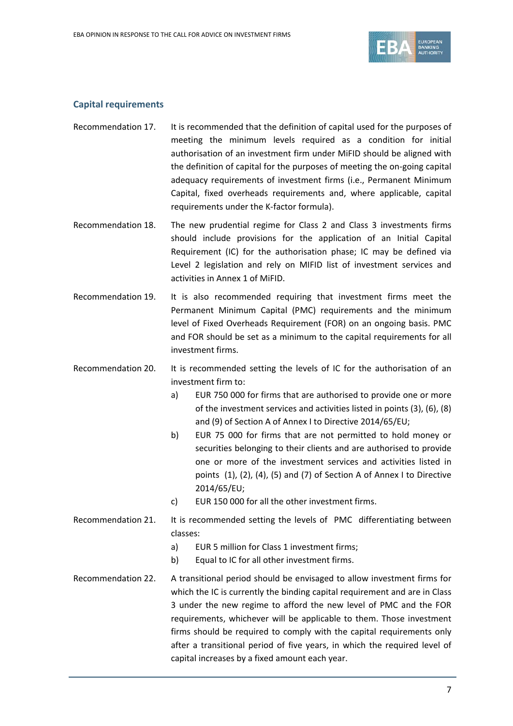

## **Capital requirements**

- Recommendation 17. It is recommended that the definition of capital used for the purposes of meeting the minimum levels required as a condition for initial authorisation of an investment firm under MiFID should be aligned with the definition of capital for the purposes of meeting the on-going capital adequacy requirements of investment firms (i.e., Permanent Minimum Capital, fixed overheads requirements and, where applicable, capital requirements under the K-factor formula).
- Recommendation 18. The new prudential regime for Class 2 and Class 3 investments firms should include provisions for the application of an Initial Capital Requirement (IC) for the authorisation phase; IC may be defined via Level 2 legislation and rely on MIFID list of investment services and activities in Annex 1 of MiFID.
- Recommendation 19. It is also recommended requiring that investment firms meet the Permanent Minimum Capital (PMC) requirements and the minimum level of Fixed Overheads Requirement (FOR) on an ongoing basis. PMC and FOR should be set as a minimum to the capital requirements for all investment firms.
- Recommendation 20. It is recommended setting the levels of IC for the authorisation of an investment firm to:
	- a) EUR 750 000 for firms that are authorised to provide one or more of the investment services and activities listed in points (3), (6), (8) and (9) of Section A of Annex I to Directive 2014/65/EU;
	- b) EUR 75 000 for firms that are not permitted to hold money or securities belonging to their clients and are authorised to provide one or more of the investment services and activities listed in points (1), (2), (4), (5) and (7) of Section A of Annex I to Directive 2014/65/EU;
	- c) EUR 150 000 for all the other investment firms.
- Recommendation 21. It is recommended setting the levels of PMC differentiating between classes:
	- a) EUR 5 million for Class 1 investment firms;
	- b) Equal to IC for all other investment firms.
- Recommendation 22. A transitional period should be envisaged to allow investment firms for which the IC is currently the binding capital requirement and are in Class 3 under the new regime to afford the new level of PMC and the FOR requirements, whichever will be applicable to them. Those investment firms should be required to comply with the capital requirements only after a transitional period of five years, in which the required level of capital increases by a fixed amount each year.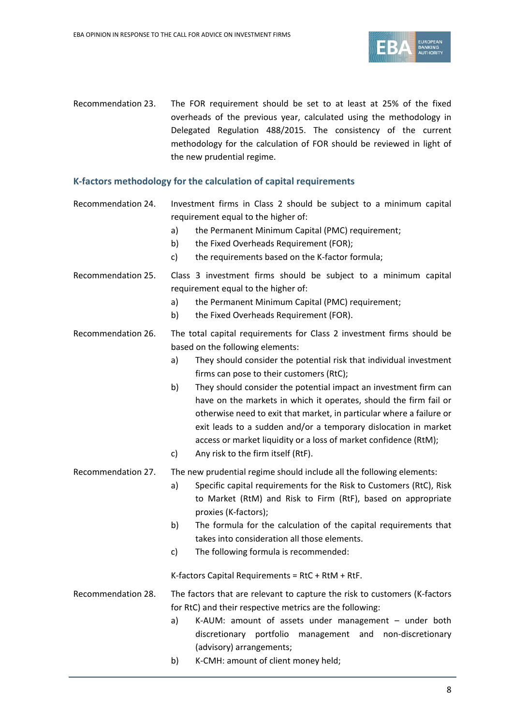

Recommendation 23. The FOR requirement should be set to at least at 25% of the fixed overheads of the previous year, calculated using the methodology in Delegated Regulation 488/2015. The consistency of the current methodology for the calculation of FOR should be reviewed in light of the new prudential regime.

# **K-factors methodology for the calculation of capital requirements**

- Recommendation 24. Investment firms in Class 2 should be subject to a minimum capital requirement equal to the higher of:
	- a) the Permanent Minimum Capital (PMC) requirement;
	- b) the Fixed Overheads Requirement (FOR);
	- c) the requirements based on the K-factor formula;
- Recommendation 25. Class 3 investment firms should be subject to a minimum capital requirement equal to the higher of:
	- a) the Permanent Minimum Capital (PMC) requirement;
	- b) the Fixed Overheads Requirement (FOR).
- Recommendation 26. The total capital requirements for Class 2 investment firms should be based on the following elements:
	- a) They should consider the potential risk that individual investment firms can pose to their customers (RtC);
	- b) They should consider the potential impact an investment firm can have on the markets in which it operates, should the firm fail or otherwise need to exit that market, in particular where a failure or exit leads to a sudden and/or a temporary dislocation in market access or market liquidity or a loss of market confidence (RtM);
	- c) Any risk to the firm itself (RtF).
- Recommendation 27. The new prudential regime should include all the following elements:
	- a) Specific capital requirements for the Risk to Customers (RtC), Risk to Market (RtM) and Risk to Firm (RtF), based on appropriate proxies (K-factors);
	- b) The formula for the calculation of the capital requirements that takes into consideration all those elements.
	- c) The following formula is recommended:

K-factors Capital Requirements = RtC + RtM + RtF.

Recommendation 28. The factors that are relevant to capture the risk to customers (K-factors for RtC) and their respective metrics are the following:

- a) K-AUM: amount of assets under management under both discretionary portfolio management and non-discretionary (advisory) arrangements;
- b) K-CMH: amount of client money held;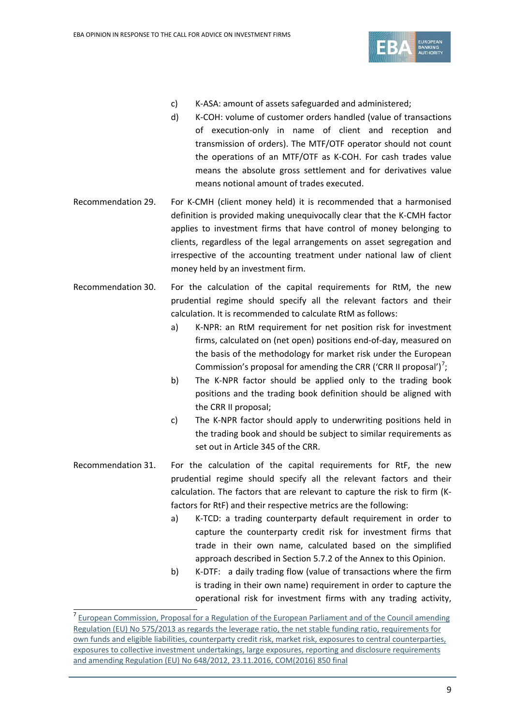

- c) K-ASA: amount of assets safeguarded and administered;
- d) K-COH: volume of customer orders handled (value of transactions of execution-only in name of client and reception and transmission of orders). The MTF/OTF operator should not count the operations of an MTF/OTF as K-COH. For cash trades value means the absolute gross settlement and for derivatives value means notional amount of trades executed.
- Recommendation 29. For K-CMH (client money held) it is recommended that a harmonised definition is provided making unequivocally clear that the K-CMH factor applies to investment firms that have control of money belonging to clients, regardless of the legal arrangements on asset segregation and irrespective of the accounting treatment under national law of client money held by an investment firm.
- Recommendation 30. For the calculation of the capital requirements for RtM, the new prudential regime should specify all the relevant factors and their calculation. It is recommended to calculate RtM as follows:
	- a) K-NPR: an RtM requirement for net position risk for investment firms, calculated on (net open) positions end-of-day, measured on the basis of the methodology for market risk under the European Commission's proposal for amending the CRR ('CRR II proposal')<sup>[7](#page-8-0)</sup>;
	- b) The K-NPR factor should be applied only to the trading book positions and the trading book definition should be aligned with the CRR II proposal;
	- c) The K-NPR factor should apply to underwriting positions held in the trading book and should be subject to similar requirements as set out in Article 345 of the CRR.
- Recommendation 31. For the calculation of the capital requirements for RtF, the new prudential regime should specify all the relevant factors and their calculation. The factors that are relevant to capture the risk to firm (Kfactors for RtF) and their respective metrics are the following:
	- a) K-TCD: a trading counterparty default requirement in order to capture the counterparty credit risk for investment firms that trade in their own name, calculated based on the simplified approach described in Section 5.7.2 of the Annex to this Opinion.
	- b) K-DTF: a daily trading flow (value of transactions where the firm is trading in their own name) requirement in order to capture the operational risk for investment firms with any trading activity,

<span id="page-8-0"></span><sup>&</sup>lt;sup>7</sup> European Commission, Proposal for a Regulation of the European Parliament and of the Council amending [Regulation \(EU\) No 575/2013 as regards the leverage ratio, the net stable funding ratio, requirements for](http://eur-lex.europa.eu/legal-content/EN/TXT/?uri=COM:2016:0850:FIN)  [own funds and eligible liabilities, counterparty credit risk, market risk, exposures to central counterparties,](http://eur-lex.europa.eu/legal-content/EN/TXT/?uri=COM:2016:0850:FIN)  [exposures to collective investment undertakings, large exposures, reporting and disclosure requirements](http://eur-lex.europa.eu/legal-content/EN/TXT/?uri=COM:2016:0850:FIN)  [and amending Regulation \(EU\) No 648/2012, 23.11.2016, COM\(2016\) 850 final](http://eur-lex.europa.eu/legal-content/EN/TXT/?uri=COM:2016:0850:FIN)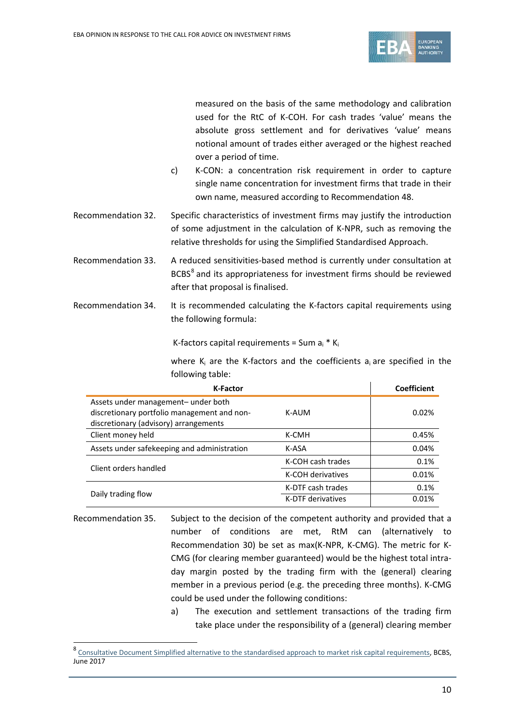

measured on the basis of the same methodology and calibration used for the RtC of K-COH. For cash trades 'value' means the absolute gross settlement and for derivatives 'value' means notional amount of trades either averaged or the highest reached over a period of time.

- c) K-CON: a concentration risk requirement in order to capture single name concentration for investment firms that trade in their own name, measured according to Recommendation 48.
- Recommendation 32. Specific characteristics of investment firms may justify the introduction of some adjustment in the calculation of K-NPR, such as removing the relative thresholds for using the Simplified Standardised Approach.
- Recommendation 33. A reduced sensitivities-based method is currently under consultation at BCBS<sup>[8](#page-9-0)</sup> and its appropriateness for investment firms should be reviewed after that proposal is finalised.
- Recommendation 34. It is recommended calculating the K-factors capital requirements using the following formula:

K-factors capital requirements = Sum  $a_i * K_i$ 

where  $K_i$  are the K-factors and the coefficients  $a_i$  are specified in the following table:

| <b>K-Factor</b>                                                                                                             | <b>Coefficient</b> |       |  |
|-----------------------------------------------------------------------------------------------------------------------------|--------------------|-------|--|
| Assets under management- under both<br>discretionary portfolio management and non-<br>discretionary (advisory) arrangements | 0.02%              |       |  |
| Client money held                                                                                                           | K-CMH              | 0.45% |  |
| Assets under safekeeping and administration                                                                                 | K-ASA              | 0.04% |  |
| Client orders handled                                                                                                       | K-COH cash trades  | 0.1%  |  |
|                                                                                                                             | K-COH derivatives  | 0.01% |  |
|                                                                                                                             | K-DTF cash trades  | 0.1%  |  |
| Daily trading flow                                                                                                          | K-DTF derivatives  | 0.01% |  |

Recommendation 35. Subject to the decision of the competent authority and provided that a number of conditions are met, RtM can (alternatively to Recommendation 30) be set as max(K-NPR, K-CMG). The metric for K-CMG (for clearing member guaranteed) would be the highest total intraday margin posted by the trading firm with the (general) clearing member in a previous period (e.g. the preceding three months). K-CMG could be used under the following conditions:

> a) The execution and settlement transactions of the trading firm take place under the responsibility of a (general) clearing member

<span id="page-9-0"></span><sup>8</sup> [Consultative Document Simplified alternative to the standardised approach to market risk capital requirements,](http://www.bis.org/bcbs/publ/d408.pdf) BCBS, June 2017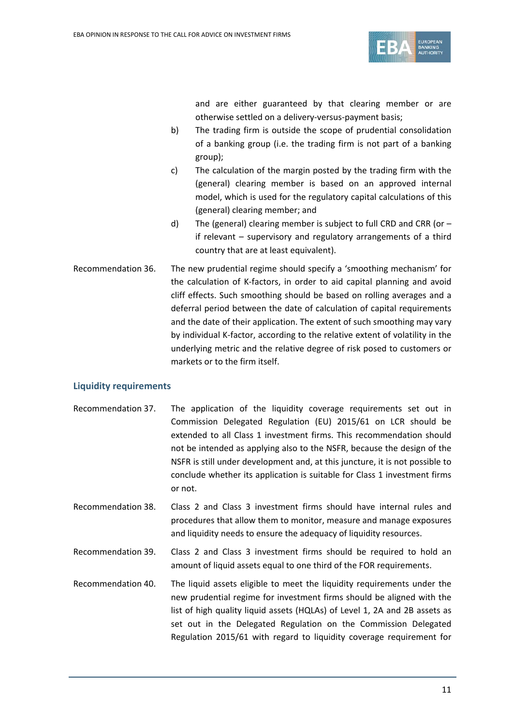

and are either guaranteed by that clearing member or are otherwise settled on a delivery-versus-payment basis;

- b) The trading firm is outside the scope of prudential consolidation of a banking group (i.e. the trading firm is not part of a banking group);
- c) The calculation of the margin posted by the trading firm with the (general) clearing member is based on an approved internal model, which is used for the regulatory capital calculations of this (general) clearing member; and
- d) The (general) clearing member is subject to full CRD and CRR (or  $$ if relevant – supervisory and regulatory arrangements of a third country that are at least equivalent).
- Recommendation 36. The new prudential regime should specify a 'smoothing mechanism' for the calculation of K-factors, in order to aid capital planning and avoid cliff effects. Such smoothing should be based on rolling averages and a deferral period between the date of calculation of capital requirements and the date of their application. The extent of such smoothing may vary by individual K-factor, according to the relative extent of volatility in the underlying metric and the relative degree of risk posed to customers or markets or to the firm itself.

# **Liquidity requirements**

- Recommendation 37. The application of the liquidity coverage requirements set out in Commission Delegated Regulation (EU) 2015/61 on LCR should be extended to all Class 1 investment firms. This recommendation should not be intended as applying also to the NSFR, because the design of the NSFR is still under development and, at this juncture, it is not possible to conclude whether its application is suitable for Class 1 investment firms or not.
- Recommendation 38. Class 2 and Class 3 investment firms should have internal rules and procedures that allow them to monitor, measure and manage exposures and liquidity needs to ensure the adequacy of liquidity resources.
- Recommendation 39. Class 2 and Class 3 investment firms should be required to hold an amount of liquid assets equal to one third of the FOR requirements.
- Recommendation 40. The liquid assets eligible to meet the liquidity requirements under the new prudential regime for investment firms should be aligned with the list of high quality liquid assets (HQLAs) of Level 1, 2A and 2B assets as set out in the Delegated Regulation on the Commission Delegated Regulation 2015/61 with regard to liquidity coverage requirement for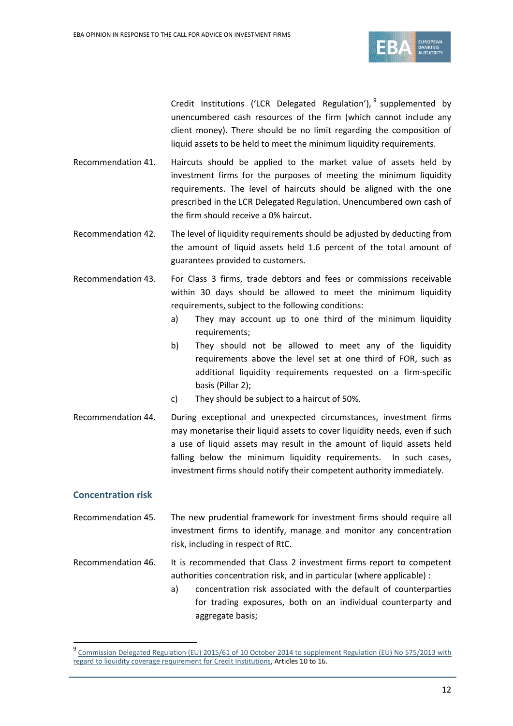

Credit Institutions ('LCR Delegated Regulation'),  $9$  supplemented by unencumbered cash resources of the firm (which cannot include any client money). There should be no limit regarding the composition of liquid assets to be held to meet the minimum liquidity requirements.

- Recommendation 41. Haircuts should be applied to the market value of assets held by investment firms for the purposes of meeting the minimum liquidity requirements. The level of haircuts should be aligned with the one prescribed in the LCR Delegated Regulation. Unencumbered own cash of the firm should receive a 0% haircut.
- Recommendation 42. The level of liquidity requirements should be adjusted by deducting from the amount of liquid assets held 1.6 percent of the total amount of guarantees provided to customers.
- Recommendation 43. For Class 3 firms, trade debtors and fees or commissions receivable within 30 days should be allowed to meet the minimum liquidity requirements, subject to the following conditions:
	- a) They may account up to one third of the minimum liquidity requirements;
	- b) They should not be allowed to meet any of the liquidity requirements above the level set at one third of FOR, such as additional liquidity requirements requested on a firm-specific basis (Pillar 2);
	- c) They should be subject to a haircut of 50%.
- Recommendation 44. During exceptional and unexpected circumstances, investment firms may monetarise their liquid assets to cover liquidity needs, even if such a use of liquid assets may result in the amount of liquid assets held falling below the minimum liquidity requirements. In such cases, investment firms should notify their competent authority immediately.

# **Concentration risk**

- Recommendation 45. The new prudential framework for investment firms should require all investment firms to identify, manage and monitor any concentration risk, including in respect of RtC.
- Recommendation 46. It is recommended that Class 2 investment firms report to competent authorities concentration risk, and in particular (where applicable) :
	- a) concentration risk associated with the default of counterparties for trading exposures, both on an individual counterparty and aggregate basis;

<span id="page-11-0"></span><sup>9</sup> [Commission Delegated Regulation \(EU\) 2015/61 of 10 October 2014 to supplement Regulation \(EU\) No 575/2013 with](http://eur-lex.europa.eu/legal-content/EN/TXT/PDF/?uri=CELEX:32015R0061&from=EN.)  [regard to liquidity coverage requirement for Credit Institutions,](http://eur-lex.europa.eu/legal-content/EN/TXT/PDF/?uri=CELEX:32015R0061&from=EN.) Articles 10 to 16.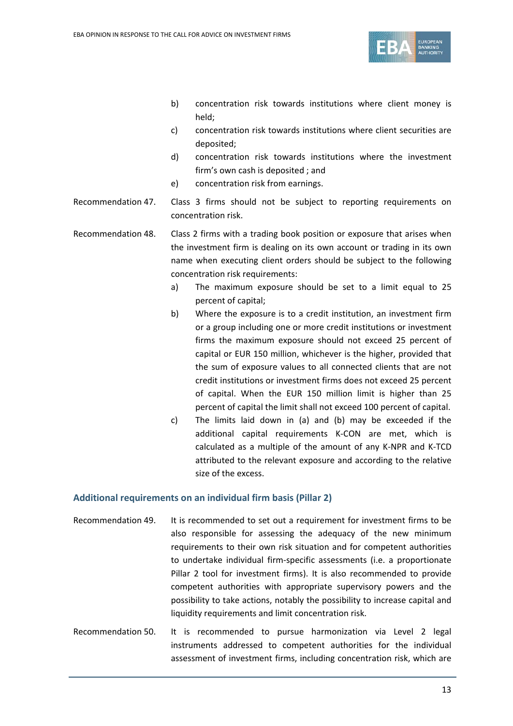

- b) concentration risk towards institutions where client money is held;
- c) concentration risk towards institutions where client securities are deposited;
- d) concentration risk towards institutions where the investment firm's own cash is deposited ; and
- e) concentration risk from earnings.
- Recommendation 47. Class 3 firms should not be subject to reporting requirements on concentration risk.

Recommendation 48. Class 2 firms with a trading book position or exposure that arises when the investment firm is dealing on its own account or trading in its own name when executing client orders should be subject to the following concentration risk requirements:

- a) The maximum exposure should be set to a limit equal to 25 percent of capital;
- b) Where the exposure is to a credit institution, an investment firm or a group including one or more credit institutions or investment firms the maximum exposure should not exceed 25 percent of capital or EUR 150 million, whichever is the higher, provided that the sum of exposure values to all connected clients that are not credit institutions or investment firms does not exceed 25 percent of capital. When the EUR 150 million limit is higher than 25 percent of capital the limit shall not exceed 100 percent of capital.
- c) The limits laid down in (a) and (b) may be exceeded if the additional capital requirements K-CON are met, which is calculated as a multiple of the amount of any K-NPR and K-TCD attributed to the relevant exposure and according to the relative size of the excess.

#### **Additional requirements on an individual firm basis (Pillar 2)**

- Recommendation 49. It is recommended to set out a requirement for investment firms to be also responsible for assessing the adequacy of the new minimum requirements to their own risk situation and for competent authorities to undertake individual firm-specific assessments (i.e. a proportionate Pillar 2 tool for investment firms). It is also recommended to provide competent authorities with appropriate supervisory powers and the possibility to take actions, notably the possibility to increase capital and liquidity requirements and limit concentration risk.
- Recommendation 50. It is recommended to pursue harmonization via Level 2 legal instruments addressed to competent authorities for the individual assessment of investment firms, including concentration risk, which are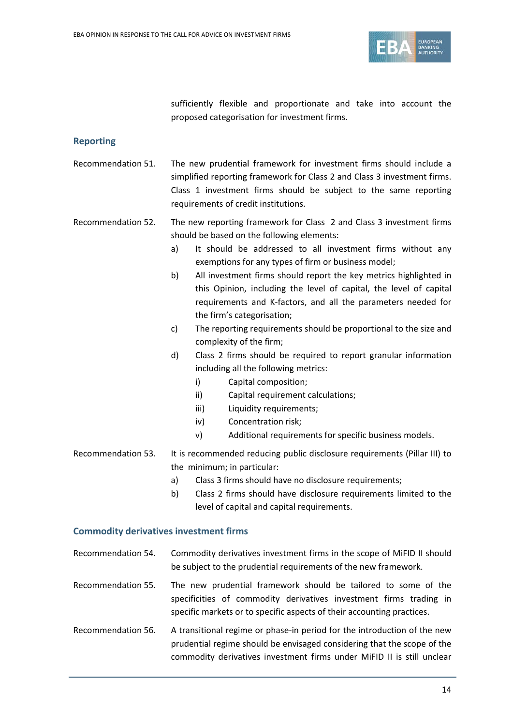

sufficiently flexible and proportionate and take into account the proposed categorisation for investment firms.

# **Reporting**

- Recommendation 51. The new prudential framework for investment firms should include a simplified reporting framework for Class 2 and Class 3 investment firms. Class 1 investment firms should be subject to the same reporting requirements of credit institutions.
- Recommendation 52. The new reporting framework for Class 2 and Class 3 investment firms should be based on the following elements:
	- a) It should be addressed to all investment firms without any exemptions for any types of firm or business model;
	- b) All investment firms should report the key metrics highlighted in this Opinion, including the level of capital, the level of capital requirements and K-factors, and all the parameters needed for the firm's categorisation;
	- c) The reporting requirements should be proportional to the size and complexity of the firm;
	- d) Class 2 firms should be required to report granular information including all the following metrics:
		- i) Capital composition;
		- ii) Capital requirement calculations;
		- iii) Liquidity requirements;
		- iv) Concentration risk;
		- v) Additional requirements for specific business models.
- Recommendation 53. It is recommended reducing public disclosure requirements (Pillar III) to the minimum; in particular:
	- a) Class 3 firms should have no disclosure requirements;
	- b) Class 2 firms should have disclosure requirements limited to the level of capital and capital requirements.

# **Commodity derivatives investment firms**

- Recommendation 54. Commodity derivatives investment firms in the scope of MiFID II should be subject to the prudential requirements of the new framework.
- Recommendation 55. The new prudential framework should be tailored to some of the specificities of commodity derivatives investment firms trading in specific markets or to specific aspects of their accounting practices.
- Recommendation 56. A transitional regime or phase-in period for the introduction of the new prudential regime should be envisaged considering that the scope of the commodity derivatives investment firms under MiFID II is still unclear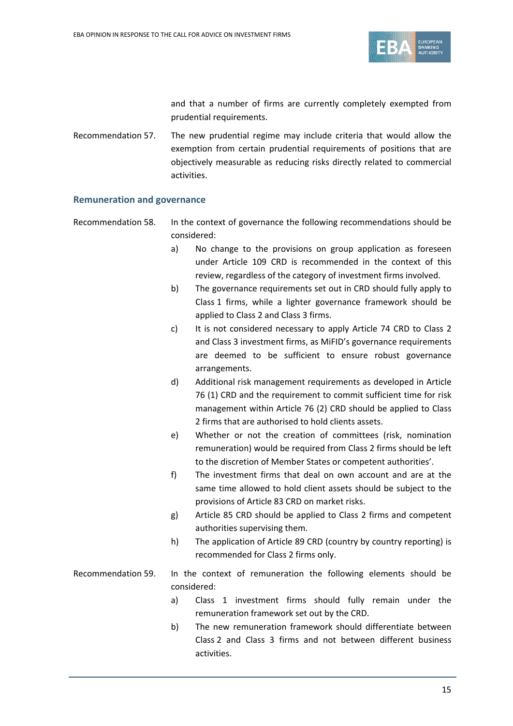

and that a number of firms are currently completely exempted from prudential requirements.

Recommendation 57. The new prudential regime may include criteria that would allow the exemption from certain prudential requirements of positions that are objectively measurable as reducing risks directly related to commercial activities.

#### **Remuneration and governance**

- Recommendation 58. In the context of governance the following recommendations should be considered:
	- a) No change to the provisions on group application as foreseen under Article 109 CRD is recommended in the context of this review, regardless of the category of investment firms involved.
	- b) The governance requirements set out in CRD should fully apply to Class 1 firms, while a lighter governance framework should be applied to Class 2 and Class 3 firms.
	- c) It is not considered necessary to apply Article 74 CRD to Class 2 and Class 3 investment firms, as MiFID's governance requirements are deemed to be sufficient to ensure robust governance arrangements.
	- d) Additional risk management requirements as developed in Article 76 (1) CRD and the requirement to commit sufficient time for risk management within Article 76 (2) CRD should be applied to Class 2 firms that are authorised to hold clients assets.
	- e) Whether or not the creation of committees (risk, nomination remuneration) would be required from Class 2 firms should be left to the discretion of Member States or competent authorities'.
	- f) The investment firms that deal on own account and are at the same time allowed to hold client assets should be subject to the provisions of Article 83 CRD on market risks.
	- g) Article 85 CRD should be applied to Class 2 firms and competent authorities supervising them.
	- h) The application of Article 89 CRD (country by country reporting) is recommended for Class 2 firms only.
- Recommendation 59. In the context of remuneration the following elements should be considered:
	- a) Class 1 investment firms should fully remain under the remuneration framework set out by the CRD.
	- b) The new remuneration framework should differentiate between Class 2 and Class 3 firms and not between different business activities.